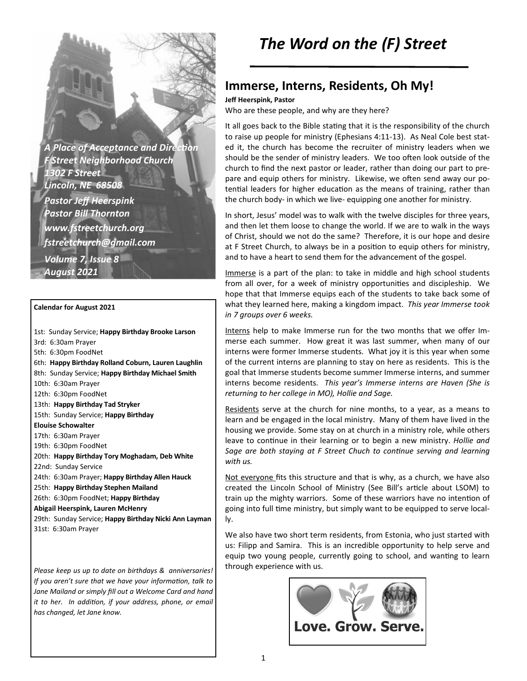**A Place of Acceptance and Direction** *F Street Neighborhood Church 1302 F Street Lincoln, NE 68508 Pastor Jeff Heerspink Pastor Bill Thornton www.fstreetchurch.org fstreetchurch@gmail.com Volume 7, Issue 8 August 2021* 

#### **Calendar for August 2021**

1st: Sunday Service; **Happy Birthday Brooke Larson**  3rd: 6:30am Prayer 5th: 6:30pm FoodNet 6th: **Happy Birthday Rolland Coburn, Lauren Laughlin**  8th: Sunday Service; **Happy Birthday Michael Smith**  10th: 6:30am Prayer 12th: 6:30pm FoodNet 13th: **Happy Birthday Tad Stryker**  15th: Sunday Service; **Happy Birthday Elouise Schowalter**  17th: 6:30am Prayer 19th: 6:30pm FoodNet 20th: **Happy Birthday Tory Moghadam, Deb White**  22nd: Sunday Service 24th: 6:30am Prayer; **Happy Birthday Allen Hauck**  25th: **Happy Birthday Stephen Mailand**  26th: 6:30pm FoodNet; **Happy Birthday Abigail Heerspink, Lauren McHenry**  29th: Sunday Service; **Happy Birthday Nicki Ann Layman**  31st: 6:30am Prayer

*Please keep us up to date on birthdays & anniversaries! If you aren't sure that we have your information, talk to Jane Mailand or simply fill out a Welcome Card and hand it to her. In addition, if your address, phone, or email has changed, let Jane know.* 

# *The Word on the (F) Street*

### **Immerse, Interns, Residents, Oh My!**

**Jeff Heerspink, Pastor** 

Who are these people, and why are they here?

It all goes back to the Bible stating that it is the responsibility of the church to raise up people for ministry (Ephesians 4:11-13). As Neal Cole best stated it, the church has become the recruiter of ministry leaders when we should be the sender of ministry leaders. We too often look outside of the church to find the next pastor or leader, rather than doing our part to prepare and equip others for ministry. Likewise, we often send away our potential leaders for higher education as the means of training, rather than the church body- in which we live- equipping one another for ministry.

In short, Jesus' model was to walk with the twelve disciples for three years, and then let them loose to change the world. If we are to walk in the ways of Christ, should we not do the same? Therefore, it is our hope and desire at F Street Church, to always be in a position to equip others for ministry, and to have a heart to send them for the advancement of the gospel.

Immerse is a part of the plan: to take in middle and high school students from all over, for a week of ministry opportunities and discipleship. We hope that that Immerse equips each of the students to take back some of what they learned here, making a kingdom impact. *This year Immerse took in 7 groups over 6 weeks.* 

Interns help to make Immerse run for the two months that we offer Immerse each summer. How great it was last summer, when many of our interns were former Immerse students. What joy it is this year when some of the current interns are planning to stay on here as residents. This is the goal that Immerse students become summer Immerse interns, and summer interns become residents. *This year's Immerse interns are Haven (She is returning to her college in MO), Hollie and Sage.*

Residents serve at the church for nine months, to a year, as a means to learn and be engaged in the local ministry. Many of them have lived in the housing we provide. Some stay on at church in a ministry role, while others leave to continue in their learning or to begin a new ministry. *Hollie and Sage are both staying at F Street Chuch to continue serving and learning with us.* 

Not everyone fits this structure and that is why, as a church, we have also created the Lincoln School of Ministry (See Bill's article about LSOM) to train up the mighty warriors. Some of these warriors have no intention of going into full time ministry, but simply want to be equipped to serve locally.

We also have two short term residents, from Estonia, who just started with us: Filipp and Samira. This is an incredible opportunity to help serve and equip two young people, currently going to school, and wanting to learn through experience with us.

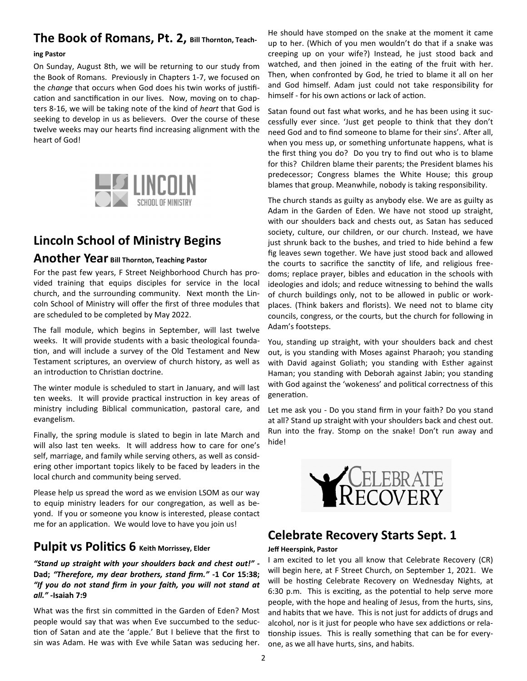# **The Book of Romans, Pt. 2, Bill Thornton, Teach-**

#### **ing Pastor**

On Sunday, August 8th, we will be returning to our study from the Book of Romans. Previously in Chapters 1-7, we focused on the *change* that occurs when God does his twin works of justification and sanctification in our lives. Now, moving on to chapters 8-16, we will be taking note of the kind of *heart* that God is seeking to develop in us as believers. Over the course of these twelve weeks may our hearts find increasing alignment with the heart of God!



# **Lincoln School of Ministry Begins**

### **Another Year Bill Thornton, Teaching Pastor**

For the past few years, F Street Neighborhood Church has provided training that equips disciples for service in the local church, and the surrounding community. Next month the Lincoln School of Ministry will offer the first of three modules that are scheduled to be completed by May 2022.

The fall module, which begins in September, will last twelve weeks. It will provide students with a basic theological founda tion, and will include a survey of the Old Testament and New Testament scriptures, an overview of church history, as well as an introduction to Christian doctrine.

The winter module is scheduled to start in January, and will last ten weeks. It will provide practical instruction in key areas of ministry including Biblical communication, pastoral care, and evangelism.

Finally, the spring module is slated to begin in late March and will also last ten weeks. It will address how to care for one's self, marriage, and family while serving others, as well as considering other important topics likely to be faced by leaders in the local church and community being served.

Please help us spread the word as we envision LSOM as our way to equip ministry leaders for our congregation, as well as beyond. If you or someone you know is interested, please contact me for an application. We would love to have you join us!

### **Pulpit vs Politics 6** Keith Morrissey, Elder

#### *"Stand up straight with your shoulders back and chest out!" -*  **Dad;** *"Therefore, my dear brothers, stand firm."* **-1 Cor 15:38;** *"If you do not stand firm in your faith, you will not stand at all." -***Isaiah 7:9**

What was the first sin committed in the Garden of Eden? Most people would say that was when Eve succumbed to the seduc tion of Satan and ate the 'apple.' But I believe that the first to sin was Adam. He was with Eve while Satan was seducing her.

He should have stomped on the snake at the moment it came up to her. (Which of you men wouldn't do that if a snake was creeping up on your wife?) Instead, he just stood back and watched, and then joined in the eating of the fruit with her. Then, when confronted by God, he tried to blame it all on her and God himself. Adam just could not take responsibility for himself - for his own actions or lack of action.

Satan found out fast what works, and he has been using it successfully ever since. 'Just get people to think that they don't need God and to find someone to blame for their sins'. After all, when you mess up, or something unfortunate happens, what is the first thing you do? Do you try to find out who is to blame for this? Children blame their parents; the President blames his predecessor; Congress blames the White House; this group blames that group. Meanwhile, nobody is taking responsibility.

The church stands as guilty as anybody else. We are as guilty as Adam in the Garden of Eden. We have not stood up straight, with our shoulders back and chests out, as Satan has seduced society, culture, our children, or our church. Instead, we have just shrunk back to the bushes, and tried to hide behind a few fig leaves sewn together. We have just stood back and allowed the courts to sacrifice the sanctity of life, and religious freedoms; replace prayer, bibles and education in the schools with ideologies and idols; and reduce witnessing to behind the walls of church buildings only, not to be allowed in public or workplaces. (Think bakers and florists). We need not to blame city councils, congress, or the courts, but the church for following in Adam's footsteps.

You, standing up straight, with your shoulders back and chest out, is you standing with Moses against Pharaoh; you standing with David against Goliath; you standing with Esther against Haman; you standing with Deborah against Jabin; you standing with God against the 'wokeness' and political correctness of this generation.

Let me ask you - Do you stand firm in your faith? Do you stand at all? Stand up straight with your shoulders back and chest out. Run into the fray. Stomp on the snake! Don't run away and hide!



### **Celebrate Recovery Starts Sept. 1**

#### **Jeff Heerspink, Pastor**

I am excited to let you all know that Celebrate Recovery (CR) will begin here, at F Street Church, on September 1, 2021. We will be hosting Celebrate Recovery on Wednesday Nights, at 6:30 p.m. This is exciting, as the potential to help serve more people, with the hope and healing of Jesus, from the hurts, sins, and habits that we have. This is not just for addicts of drugs and alcohol, nor is it just for people who have sex addictions or relationship issues. This is really something that can be for everyone, as we all have hurts, sins, and habits.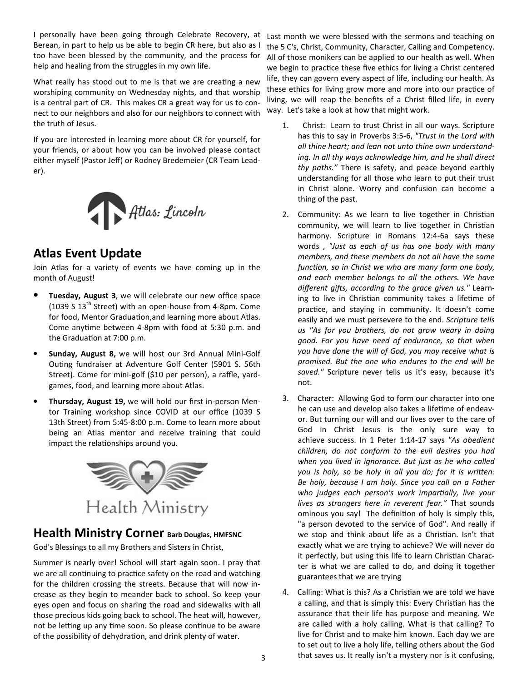I personally have been going through Celebrate Recovery, at Berean, in part to help us be able to begin CR here, but also as I too have been blessed by the community, and the process for help and healing from the struggles in my own life.

What really has stood out to me is that we are creating a new worshiping community on Wednesday nights, and that worship is a central part of CR. This makes CR a great way for us to connect to our neighbors and also for our neighbors to connect with the truth of Jesus.

If you are interested in learning more about CR for yourself, for your friends, or about how you can be involved please contact either myself (Pastor Jeff) or Rodney Bredemeier (CR Team Leader).



### **Atlas Event Update**

Join Atlas for a variety of events we have coming up in the month of August!

- **Tuesday, August 3**, we will celebrate our new office space (1039 S 13th Street) with an open-house from 4-8pm. Come for food, Mentor Graduation,and learning more about Atlas. Come anytime between 4-8pm with food at 5:30 p.m. and the Graduation at 7:00 p.m.
- **Sunday, August 8,** we will host our 3rd Annual Mini-Golf Outing fundraiser at Adventure Golf Center (5901 S. 56th Street). Come for mini-golf (\$10 per person), a raffle, yardgames, food, and learning more about Atlas.
- **Thursday, August 19,** we will hold our first in-person Mentor Training workshop since COVID at our office (1039 S 13th Street) from 5:45-8:00 p.m. Come to learn more about being an Atlas mentor and receive training that could impact the relationships around you.



### **Health Ministry Corner Barb Douglas, HMFSNC**

God's Blessings to all my Brothers and Sisters in Christ,

Summer is nearly over! School will start again soon. I pray that we are all continuing to practice safety on the road and watching for the children crossing the streets. Because that will now increase as they begin to meander back to school. So keep your eyes open and focus on sharing the road and sidewalks with all those precious kids going back to school. The heat will, however, not be letting up any time soon. So please continue to be aware of the possibility of dehydration, and drink plenty of water.

Last month we were blessed with the sermons and teaching on the 5 C's, Christ, Community, Character, Calling and Competency. All of those monikers can be applied to our health as well. When we begin to practice these five ethics for living a Christ centered life, they can govern every aspect of life, including our health. As these ethics for living grow more and more into our practice of living, we will reap the benefits of a Christ filled life, in every way. Let's take a look at how that might work.

- 1. Christ: Learn to trust Christ in all our ways. Scripture has this to say in Proverbs 3:5-6, *"Trust in the Lord with all thine heart; and lean not unto thine own understanding. In all thy ways acknowledge him, and he shall direct thy paths."* There is safety, and peace beyond earthly understanding for all those who learn to put their trust in Christ alone. Worry and confusion can become a thing of the past.
- 2. Community: As we learn to live together in Christian community, we will learn to live together in Christian harmony. Scripture in Romans 12:4-6a says these words , *"Just as each of us has one body with many members, and these members do not all have the same function, so in Christ we who are many form one body, and each member belongs to all the others. We have*  different gifts, according to the grace given us." Learning to live in Christian community takes a lifetime of practice, and staying in community. It doesn't come easily and we must persevere to the end. *Scripture tells us "As for you brothers, do not grow weary in doing good. For you have need of endurance, so that when you have done the will of God, you may receive what is promised. But the one who endures to the end will be saved."* Scripture never tells us it's easy, because it's not.
- 3. Character: Allowing God to form our character into one he can use and develop also takes a lifetime of endeavor. But turning our will and our lives over to the care of God in Christ Jesus is the only sure way to achieve success. In 1 Peter 1:14-17 says *"As obedient children, do not conform to the evil desires you had when you lived in ignorance. But just as he who called you is holy, so be holy in all you do; for it is written: Be holy, because I am holy. Since you call on a Father*  who judges each person's work impartially, live your *lives as strangers here in reverent fear."* That sounds ominous you say! The definition of holy is simply this, "a person devoted to the service of God". And really if we stop and think about life as a Christian. Isn't that exactly what we are trying to achieve? We will never do it perfectly, but using this life to learn Christian Character is what we are called to do, and doing it together guarantees that we are trying
- 4. Calling: What is this? As a Christian we are told we have a calling, and that is simply this: Every Christian has the assurance that their life has purpose and meaning. We are called with a holy calling. What is that calling? To live for Christ and to make him known. Each day we are to set out to live a holy life, telling others about the God that saves us. It really isn't a mystery nor is it confusing,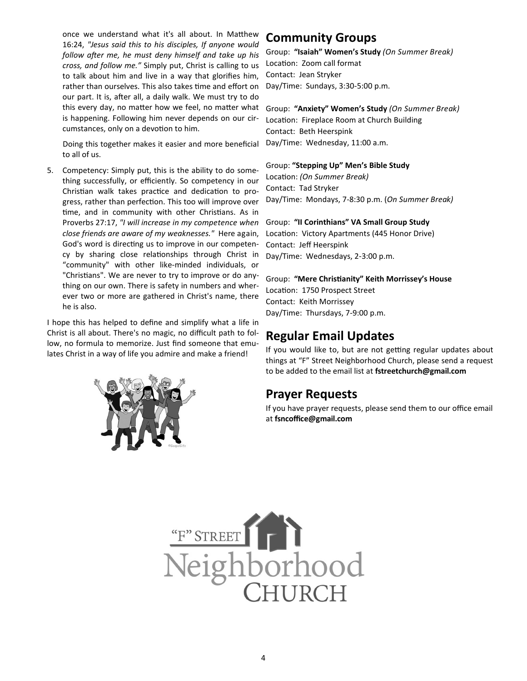once we understand what it's all about. In Matthew 16:24, *"Jesus said this to his disciples, If anyone would*  follow after me, he must deny himself and take up his *cross, and follow me."* Simply put, Christ is calling to us to talk about him and live in a way that glorifies him, rather than ourselves. This also takes time and effort on our part. It is, after all, a daily walk. We must try to do this every day, no matter how we feel, no matter what is happening. Following him never depends on our circumstances, only on a devotion to him.

 Doing this together makes it easier and more beneficial to all of us.

5. Competency: Simply put, this is the ability to do something successfully, or efficiently. So competency in our Christian walk takes practice and dedication to progress, rather than perfection. This too will improve over time, and in community with other Christians. As in Proverbs 27:17, *"I will increase in my competence when close friends are aware of my weaknesses."* Here again, God's word is directing us to improve in our competency by sharing close relationships through Christ in "community" with other like-minded individuals, or "Christians". We are never to try to improve or do anything on our own. There is safety in numbers and wherever two or more are gathered in Christ's name, there he is also.

I hope this has helped to define and simplify what a life in Christ is all about. There's no magic, no difficult path to follow, no formula to memorize. Just find someone that emulates Christ in a way of life you admire and make a friend!



### **Community Groups**

Group: **"Isaiah" Women's Study** *(On Summer Break)*  Location: Zoom call format Contact: Jean Stryker Day/Time: Sundays, 3:30-5:00 p.m.

Group: **"Anxiety" Women's Study** *(On Summer Break)*  Location: Fireplace Room at Church Building Contact: Beth Heerspink Day/Time: Wednesday, 11:00 a.m.

Group: **"Stepping Up" Men's Bible Study** Location: *(On Summer Break)* 

Contact: Tad Stryker Day/Time: Mondays, 7-8:30 p.m. (*On Summer Break)* 

Group: **"II Corinthians" VA Small Group Study** Location: Victory Apartments (445 Honor Drive) Contact: Jeff Heerspink Day/Time: Wednesdays, 2-3:00 p.m.

Group: "Mere Christianity" Keith Morrissey's House Location: 1750 Prospect Street Contact: Keith Morrissey Day/Time: Thursdays, 7-9:00 p.m.

### **Regular Email Updates**

If you would like to, but are not getting regular updates about things at "F" Street Neighborhood Church, please send a request to be added to the email list at **fstreetchurch@gmail.com**

### **Prayer Requests**

If you have prayer requests, please send them to our office email at **fsncoffice@gmail.com**